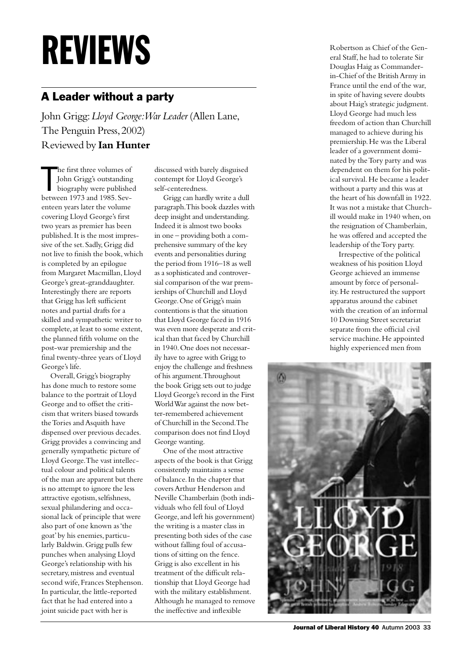## REVIEWS

## A Leader without a party

John Grigg: *Lloyd George: War Leader* (Allen Lane, The Penguin Press, 2002) Reviewed by **Ian Hunter**

The first three volumes of<br>
John Grigg's outstanding<br>
biography were publishe<br>
between 1973 and 1985. Sevhe first three volumes of John Grigg's outstanding biography were published enteen years later the volume covering Lloyd George's first two years as premier has been published. It is the most impressive of the set. Sadly, Grigg did not live to finish the book, which is completed by an epilogue from Margaret Macmillan, Lloyd George's great-granddaughter. Interestingly there are reports that Grigg has left sufficient notes and partial drafts for a skilled and sympathetic writer to complete, at least to some extent, the planned fifth volume on the post-war premiership and the final twenty-three years of Lloyd George's life.

Overall, Grigg's biography has done much to restore some balance to the portrait of Lloyd George and to offset the criticism that writers biased towards the Tories and Asquith have dispensed over previous decades. Grigg provides a convincing and generally sympathetic picture of Lloyd George. The vast intellectual colour and political talents of the man are apparent but there is no attempt to ignore the less attractive egotism, selfishness, sexual philandering and occasional lack of principle that were also part of one known as 'the goat' by his enemies, particularly Baldwin. Grigg pulls few punches when analysing Lloyd George's relationship with his secretary, mistress and eventual second wife, Frances Stephenson. In particular, the little-reported fact that he had entered into a joint suicide pact with her is

discussed with barely disguised contempt for Lloyd George's self-centeredness.

Grigg can hardly write a dull paragraph. This book dazzles with deep insight and understanding. Indeed it is almost two books in one – providing both a comprehensive summary of the key events and personalities during the period from 1916–18 as well as a sophisticated and controversial comparison of the war premierships of Churchill and Lloyd George. One of Grigg's main contentions is that the situation that Lloyd George faced in 1916 was even more desperate and critical than that faced by Churchill in 1940. One does not necessarily have to agree with Grigg to enjoy the challenge and freshness of his argument. Throughout the book Grigg sets out to judge Lloyd George's record in the First World War against the now better-remembered achievement of Churchill in the Second. The comparison does not find Lloyd George wanting.

One of the most attractive aspects of the book is that Grigg consistently maintains a sense of balance. In the chapter that covers Arthur Henderson and Neville Chamberlain (both individuals who fell foul of Lloyd George, and left his government) the writing is a master class in presenting both sides of the case without falling foul of accusations of sitting on the fence. Grigg is also excellent in his treatment of the difficult relationship that Lloyd George had with the military establishment. Although he managed to remove the ineffective and inflexible

Robertson as Chief of the General Staff, he had to tolerate Sir Douglas Haig as Commanderin-Chief of the British Army in France until the end of the war, in spite of having severe doubts about Haig's strategic judgment. Lloyd George had much less freedom of action than Churchill managed to achieve during his premiership. He was the Liberal leader of a government dominated by the Tory party and was dependent on them for his political survival. He became a leader without a party and this was at the heart of his downfall in 1922. It was not a mistake that Churchill would make in 1940 when, on the resignation of Chamberlain, he was offered and accepted the leadership of the Tory party.

Irrespective of the political weakness of his position Lloyd George achieved an immense amount by force of personality. He restructured the support apparatus around the cabinet with the creation of an informal 10 Downing Street secretariat separate from the official civil service machine. He appointed highly experienced men from



Journal of Liberal History 40 Autumn 2003 33